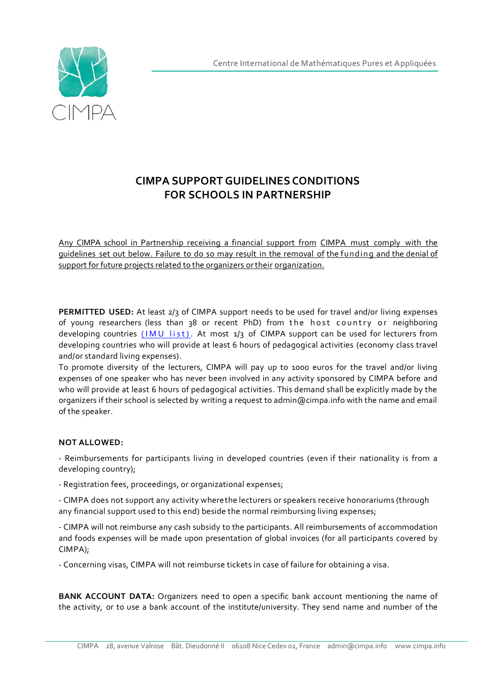

## **CIMPA SUPPORT GUIDELINES CONDITIONS FOR SCHOOLS IN PARTNERSHIP**

Any CIMPA school in Partnership receiving a financial support from CIMPA must comply with the guidelines set out below. Failure to do so may result in the removal of the funding and the denial of support for future projects related to the organizers ortheir organization.

**PERMITTED USED:** At least 2/3 of CIMPA support needs to be used for travel and/or living expenses of young researchers (less than 38 or recent PhD) from the host country or neighboring developing countries ( $IMU$  list). At most  $1/3$  of CIMPA support can be used for lecturers from developing countries who will provide at least 6 hours of pedagogical activities (economy class travel and/or standard living expenses).

To promote diversity of the lecturers, CIMPA will pay up to 1000 euros for the travel and/or living expenses of one speaker who has never been involved in any activity sponsored by CIMPA before and who will provide at least 6 hours of pedagogical activities. This demand shall be explicitly made by the organizers if their school is selected by writing a request to admin@cimpa.info with the name and email of the speaker.

## **NOT ALLOWED:**

- Reimbursements for participants living in developed countries (even if their nationality is from a developing country);

- Registration fees, proceedings, or organizational expenses;

- CIMPA does not support any activity wherethe lecturers or speakers receive honorariums (through any financial support used to this end) beside the normal reimbursing living expenses;

- CIMPA will not reimburse any cash subsidy to the participants. All reimbursements of accommodation and foods expenses will be made upon presentation of global invoices (for all participants covered by CIMPA);

- Concerning visas, CIMPA will not reimburse tickets in case of failure for obtaining a visa.

**BANK ACCOUNT DATA:** Organizers need to open a specific bank account mentioning the name of the activity, or to use a bank account of the institute/university. They send name and number of the